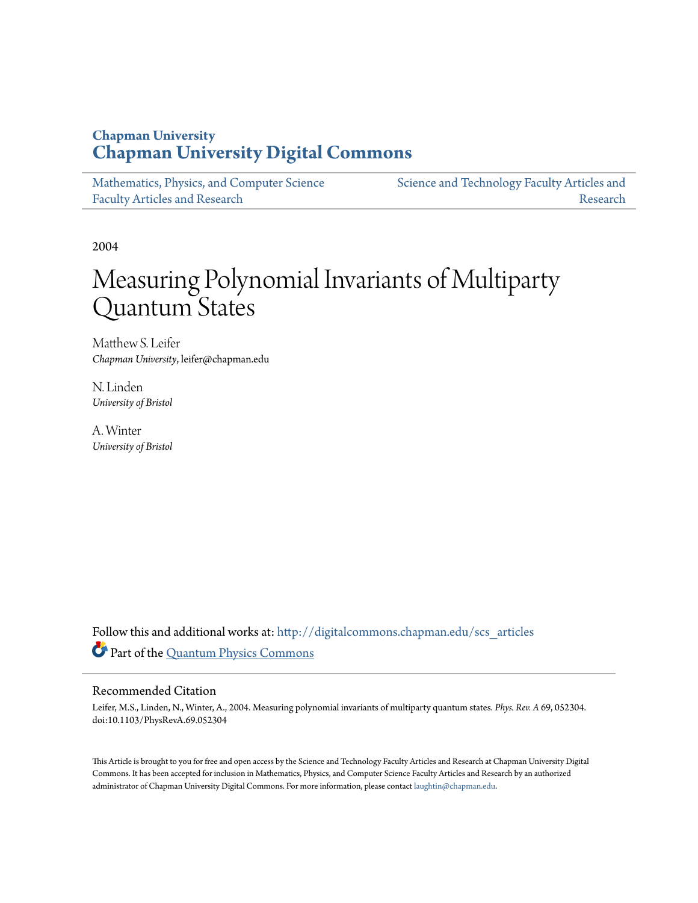## **Chapman University [Chapman University Digital Commons](http://digitalcommons.chapman.edu?utm_source=digitalcommons.chapman.edu%2Fscs_articles%2F527&utm_medium=PDF&utm_campaign=PDFCoverPages)**

| Mathematics, Physics, and Computer Science | Science and Technology Faculty Articles and |
|--------------------------------------------|---------------------------------------------|
| <b>Faculty Articles and Research</b>       | Research                                    |

2004

# Measuring Polynomial Invariants of Multiparty Quantum States

Matthew S. Leifer *Chapman University*, leifer@chapman.edu

N. Linden *University of Bristol*

A. Winter *University of Bristol*

Follow this and additional works at: [http://digitalcommons.chapman.edu/scs\\_articles](http://digitalcommons.chapman.edu/scs_articles?utm_source=digitalcommons.chapman.edu%2Fscs_articles%2F527&utm_medium=PDF&utm_campaign=PDFCoverPages) Part of the [Quantum Physics Commons](https://network.bepress.com/hgg/discipline/206?utm_source=digitalcommons.chapman.edu%2Fscs_articles%2F527&utm_medium=PDF&utm_campaign=PDFCoverPages)

## Recommended Citation

Leifer, M.S., Linden, N., Winter, A., 2004. Measuring polynomial invariants of multiparty quantum states. *Phys. Rev. A* 69, 052304. doi:10.1103/PhysRevA.69.052304

This Article is brought to you for free and open access by the Science and Technology Faculty Articles and Research at Chapman University Digital Commons. It has been accepted for inclusion in Mathematics, Physics, and Computer Science Faculty Articles and Research by an authorized administrator of Chapman University Digital Commons. For more information, please contact [laughtin@chapman.edu.](mailto:laughtin@chapman.edu)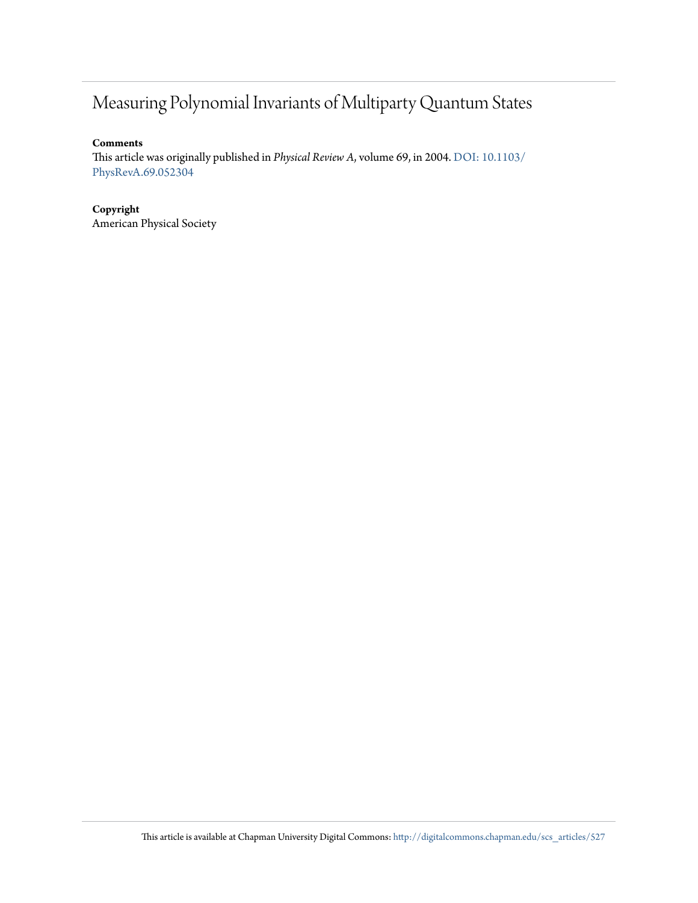## Measuring Polynomial Invariants of Multiparty Quantum States

## **Comments**

This article was originally published in *Physical Review A*, volume 69, in 2004. [DOI: 10.1103/](http://dx.doi.org/10.1103/PhysRevA.69.052304) [PhysRevA.69.052304](http://dx.doi.org/10.1103/PhysRevA.69.052304)

### **Copyright** American Physical Society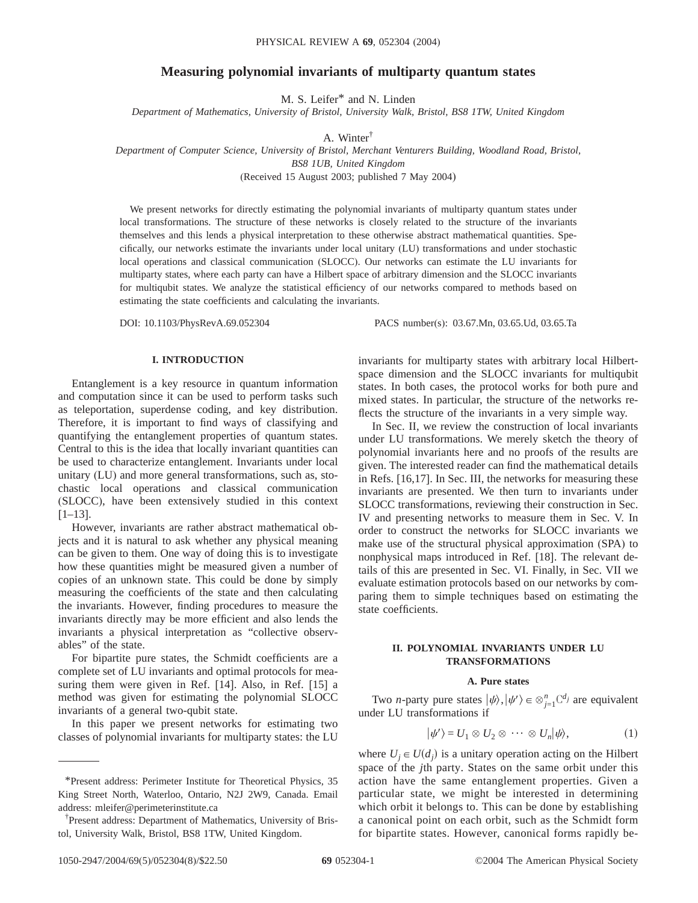#### **Measuring polynomial invariants of multiparty quantum states**

M. S. Leifer\* and N. Linden

*Department of Mathematics, University of Bristol, University Walk, Bristol, BS8 1TW, United Kingdom*

A. Winter†

*Department of Computer Science, University of Bristol, Merchant Venturers Building, Woodland Road, Bristol, BS8 1UB, United Kingdom*

(Received 15 August 2003; published 7 May 2004)

We present networks for directly estimating the polynomial invariants of multiparty quantum states under local transformations. The structure of these networks is closely related to the structure of the invariants themselves and this lends a physical interpretation to these otherwise abstract mathematical quantities. Specifically, our networks estimate the invariants under local unitary (LU) transformations and under stochastic local operations and classical communication (SLOCC). Our networks can estimate the LU invariants for multiparty states, where each party can have a Hilbert space of arbitrary dimension and the SLOCC invariants for multiqubit states. We analyze the statistical efficiency of our networks compared to methods based on estimating the state coefficients and calculating the invariants.

DOI: 10.1103/PhysRevA.69.052304 PACS number(s): 03.67.Mn, 03.65.Ud, 03.65.Ta

#### **I. INTRODUCTION**

Entanglement is a key resource in quantum information and computation since it can be used to perform tasks such as teleportation, superdense coding, and key distribution. Therefore, it is important to find ways of classifying and quantifying the entanglement properties of quantum states. Central to this is the idea that locally invariant quantities can be used to characterize entanglement. Invariants under local unitary (LU) and more general transformations, such as, stochastic local operations and classical communication (SLOCC), have been extensively studied in this context  $[1-13]$ .

However, invariants are rather abstract mathematical objects and it is natural to ask whether any physical meaning can be given to them. One way of doing this is to investigate how these quantities might be measured given a number of copies of an unknown state. This could be done by simply measuring the coefficients of the state and then calculating the invariants. However, finding procedures to measure the invariants directly may be more efficient and also lends the invariants a physical interpretation as "collective observables" of the state.

For bipartite pure states, the Schmidt coefficients are a complete set of LU invariants and optimal protocols for measuring them were given in Ref. [14]. Also, in Ref. [15] a method was given for estimating the polynomial SLOCC invariants of a general two-qubit state.

In this paper we present networks for estimating two classes of polynomial invariants for multiparty states: the LU invariants for multiparty states with arbitrary local Hilbertspace dimension and the SLOCC invariants for multiqubit states. In both cases, the protocol works for both pure and mixed states. In particular, the structure of the networks reflects the structure of the invariants in a very simple way.

In Sec. II, we review the construction of local invariants under LU transformations. We merely sketch the theory of polynomial invariants here and no proofs of the results are given. The interested reader can find the mathematical details in Refs. [16,17]. In Sec. III, the networks for measuring these invariants are presented. We then turn to invariants under SLOCC transformations, reviewing their construction in Sec. IV and presenting networks to measure them in Sec. V. In order to construct the networks for SLOCC invariants we make use of the structural physical approximation (SPA) to nonphysical maps introduced in Ref. [18]. The relevant details of this are presented in Sec. VI. Finally, in Sec. VII we evaluate estimation protocols based on our networks by comparing them to simple techniques based on estimating the state coefficients.

#### **II. POLYNOMIAL INVARIANTS UNDER LU TRANSFORMATIONS**

#### **A. Pure states**

Two *n*-party pure states  $|\psi\rangle$ ,  $|\psi'\rangle \in \otimes_{j=1}^n C^{d_j}$  are equivalent under LU transformations if

$$
|\psi'\rangle = U_1 \otimes U_2 \otimes \cdots \otimes U_n|\psi\rangle, \tag{1}
$$

where  $U_i \in U(d_i)$  is a unitary operation acting on the Hilbert space of the *j*th party. States on the same orbit under this action have the same entanglement properties. Given a particular state, we might be interested in determining which orbit it belongs to. This can be done by establishing a canonical point on each orbit, such as the Schmidt form for bipartite states. However, canonical forms rapidly be-

<sup>\*</sup>Present address: Perimeter Institute for Theoretical Physics, 35 King Street North, Waterloo, Ontario, N2J 2W9, Canada. Email address: mleifer@perimeterinstitute.ca

<sup>†</sup> Present address: Department of Mathematics, University of Bristol, University Walk, Bristol, BS8 1TW, United Kingdom.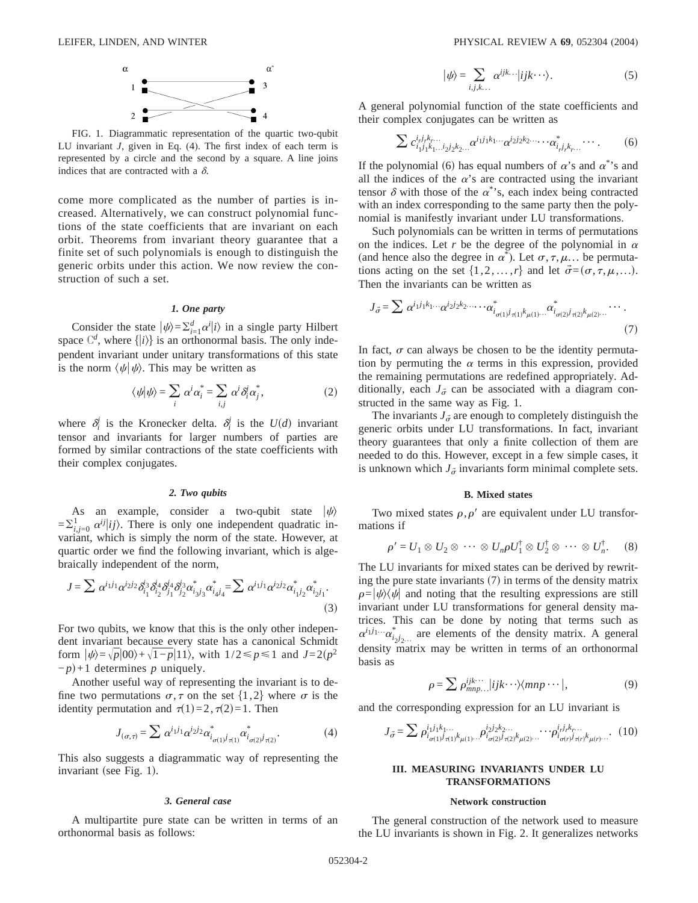

FIG. 1. Diagrammatic representation of the quartic two-qubit LU invariant *J*, given in Eq. (4). The first index of each term is represented by a circle and the second by a square. A line joins indices that are contracted with a  $\delta$ .

come more complicated as the number of parties is increased. Alternatively, we can construct polynomial functions of the state coefficients that are invariant on each orbit. Theorems from invariant theory guarantee that a finite set of such polynomials is enough to distinguish the generic orbits under this action. We now review the construction of such a set.

#### *1. One party*

Consider the state  $|\psi\rangle = \sum_{i=1}^{d} \alpha^{i} |i\rangle$  in a single party Hilbert space  $C^d$ , where  $\{|i\rangle\}$  is an orthonormal basis. The only independent invariant under unitary transformations of this state is the norm  $\langle \psi | \psi \rangle$ . This may be written as

$$
\langle \psi | \psi \rangle = \sum_{i} \alpha^{i} \alpha_{i}^{*} = \sum_{i,j} \alpha^{i} \delta_{i}^{j} \alpha_{j}^{*}, \qquad (2)
$$

where  $\delta_i^j$  is the Kronecker delta.  $\delta_i^j$  is the  $U(d)$  invariant tensor and invariants for larger numbers of parties are formed by similar contractions of the state coefficients with their complex conjugates.

#### *2. Two qubits*

As an example, consider a two-qubit state  $|\psi\rangle$  $=\sum_{i,j=0}^{1} \alpha^{ij} |ij\rangle$ . There is only one independent quadratic invariant, which is simply the norm of the state. However, at quartic order we find the following invariant, which is algebraically independent of the norm,

$$
J = \sum \alpha^{i_1 j_1} \alpha^{i_2 j_2} \delta_{i_1}^{i_3} \delta_{i_2}^{i_4} \delta_{j_1}^{i_4} \delta_{j_2}^{i_3} \alpha_{i_3 j_3}^* \alpha_{i_4 j_4}^* = \sum \alpha^{i_1 j_1} \alpha^{i_2 j_2} \alpha_{i_1 j_2}^* \alpha_{i_2 j_1}^*.
$$
\n(3)

For two qubits, we know that this is the only other independent invariant because every state has a canonical Schmidt form  $|\psi\rangle = \sqrt{p|00} + \sqrt{1-p|11}$ , with  $1/2 \le p \le 1$  and  $J=2(p^2)$  $-p$ +1 determines *p* uniquely.

Another useful way of representing the invariant is to define two permutations  $\sigma$ ,  $\tau$  on the set  $\{1,2\}$  where  $\sigma$  is the identity permutation and  $\tau(1)=2, \tau(2)=1$ . Then

$$
J_{(\sigma,\tau)} = \sum \alpha^{i_1 j_1} \alpha^{i_2 j_2} \alpha^*_{i_{\sigma(1)} j_{\tau(1)}} \alpha^*_{i_{\sigma(2)} j_{\tau(2)}}.
$$
 (4)

This also suggests a diagrammatic way of representing the invariant (see Fig.  $1$ ).

#### *3. General case*

A multipartite pure state can be written in terms of an orthonormal basis as follows:

$$
|\psi\rangle = \sum_{i,j,k...} \alpha^{ijk...} |ijk\cdots\rangle.
$$
 (5)

A general polynomial function of the state coefficients and their complex conjugates can be written as

$$
\sum c_{i_1j_1k_1...i_2j_2k_2...}^{i_rj_rk_r...} \alpha^{i_1j_1k_1...i_2j_2k_2...i_2k_{r_1}k_{r_2}...k_{r_{r_{r_1}}k_{r_{r_2}}} \cdots \qquad (6)
$$

If the polynomial (6) has equal numbers of  $\alpha$ 's and  $\alpha^*$ 's and all the indices of the  $\alpha$ 's are contracted using the invariant tensor  $\delta$  with those of the  $\alpha^*$ 's, each index being contracted with an index corresponding to the same party then the polynomial is manifestly invariant under LU transformations.

Such polynomials can be written in terms of permutations on the indices. Let  $r$  be the degree of the polynomial in  $\alpha$ (and hence also the degree in  $\alpha^*$ ). Let  $\sigma, \tau, \mu$ ... be permutations acting on the set  $\{1,2,\ldots,r\}$  and let  $\vec{\sigma} = (\sigma, \tau, \mu, \ldots)$ . Then the invariants can be written as

$$
J_{\vec{\sigma}} = \sum \alpha^{i_1 j_1 k_1 \cdots \alpha^{i_2 j_2 k_2 \cdots \cdots \alpha^*_{i_{\sigma(1)} j_{\tau(1)} k_{\mu(1)} \cdots}} \alpha^*_{i_{\sigma(2)} j_{\tau(2)} k_{\mu(2)} \cdots} \cdots
$$
\n(7)

In fact,  $\sigma$  can always be chosen to be the identity permutation by permuting the  $\alpha$  terms in this expression, provided the remaining permutations are redefined appropriately. Additionally, each  $J_{\sigma}$  can be associated with a diagram constructed in the same way as Fig. 1.

The invariants  $J_{\sigma}$  are enough to completely distinguish the generic orbits under LU transformations. In fact, invariant theory guarantees that only a finite collection of them are needed to do this. However, except in a few simple cases, it is unknown which  $J_{\sigma}$  invariants form minimal complete sets.

#### **B. Mixed states**

Two mixed states  $\rho, \rho'$  are equivalent under LU transformations if

$$
\rho' = U_1 \otimes U_2 \otimes \cdots \otimes U_n \rho U_1^{\dagger} \otimes U_2^{\dagger} \otimes \cdots \otimes U_n^{\dagger}.
$$
 (8)

The LU invariants for mixed states can be derived by rewriting the pure state invariants  $(7)$  in terms of the density matrix  $\rho=|\psi\rangle\langle\psi|$  and noting that the resulting expressions are still invariant under LU transformations for general density matrices. This can be done by noting that terms such as  $\alpha^{i_1 j_1 \cdots} \alpha^*_{i_2 j_2 \cdots}$  are elements of the density matrix. A general density matrix may be written in terms of an orthonormal basis as

$$
\rho = \sum \rho_{mnp...}^{ijk...} |ijk... \rangle \langle mnp \cdots |,
$$
\n(9)

and the corresponding expression for an LU invariant is

$$
J_{\vec{\sigma}} = \sum_{j} \rho_{i_{\sigma(1)}j_{\sigma(1)}k_{\mu(1)}}^{i_{1}j_{1}k_{1}j_{1}} \cdots \rho_{i_{\sigma(2)}j_{\sigma(2)}k_{\mu(2)}}^{i_{2}j_{2}k_{2}j_{2}} \cdots \cdots \rho_{i_{\sigma(r)}j_{\sigma(r)}k_{\mu(r)}j_{\sigma(r)}}^{i_{r}j_{r}k_{r}} \cdots (10)
$$

#### **III. MEASURING INVARIANTS UNDER LU TRANSFORMATIONS**

#### **Network construction**

The general construction of the network used to measure the LU invariants is shown in Fig. 2. It generalizes networks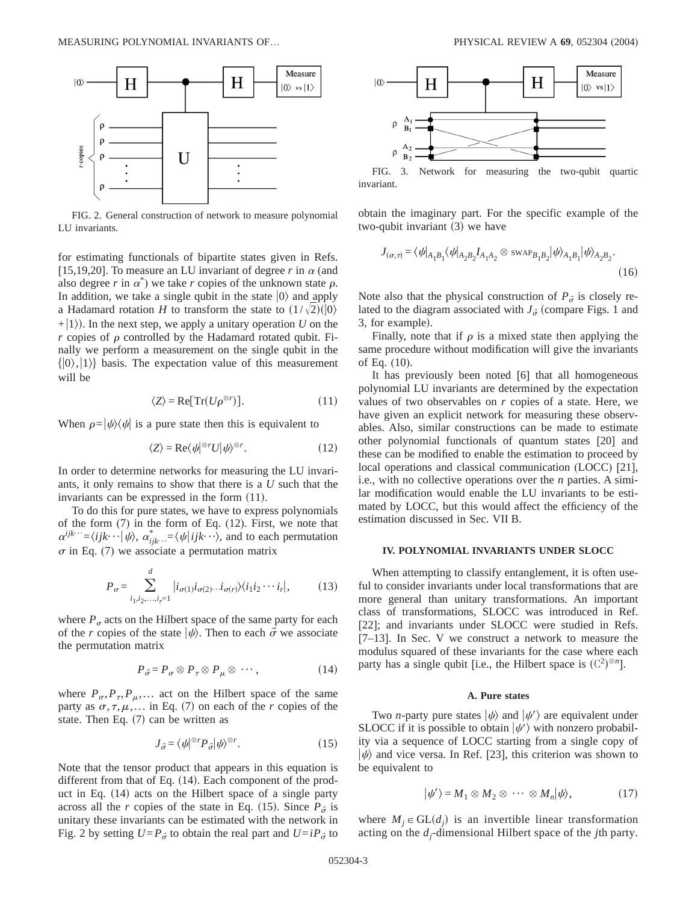

FIG. 2. General construction of network to measure polynomial LU invariants.

for estimating functionals of bipartite states given in Refs. [15,19,20]. To measure an LU invariant of degree  $r$  in  $\alpha$  (and also degree  $r$  in  $\alpha^*$ ) we take  $r$  copies of the unknown state  $\rho$ . In addition, we take a single qubit in the state  $|0\rangle$  and apply a Hadamard rotation *H* to transform the state to  $(1/\sqrt{2})(|0\rangle)$  $+(1)$ ). In the next step, we apply a unitary operation *U* on the  $r$  copies of  $\rho$  controlled by the Hadamard rotated qubit. Finally we perform a measurement on the single qubit in the  $\{|0\rangle, |1\rangle\}$  basis. The expectation value of this measurement will be

$$
\langle Z \rangle = \text{Re}[\text{Tr}(U\rho^{\otimes r})]. \tag{11}
$$

When  $\rho=|\psi\rangle\langle\psi|$  is a pure state then this is equivalent to

$$
\langle Z \rangle = \text{Re}\langle \psi |^{\otimes r} U | \psi \rangle^{\otimes r}.
$$
 (12)

In order to determine networks for measuring the LU invariants, it only remains to show that there is a *U* such that the invariants can be expressed in the form  $(11)$ .

To do this for pure states, we have to express polynomials of the form (7) in the form of Eq. (12). First, we note that  $\alpha^{ijk\cdots} = \langle ijk\cdots | \psi \rangle$ ,  $\alpha^*_{ijk\cdots} = \langle \psi | ijk\cdots \rangle$ , and to each permutation  $\sigma$  in Eq. (7) we associate a permutation matrix

$$
P_{\sigma} = \sum_{i_1, i_2, \dots, i_r=1}^{d} |i_{\sigma(1)} i_{\sigma(2)} \dots i_{\sigma(r)} \rangle \langle i_1 i_2 \dots i_r |,
$$
 (13)

where  $P_{\sigma}$  acts on the Hilbert space of the same party for each of the *r* copies of the state  $|\psi\rangle$ . Then to each  $\vec{\sigma}$  we associate the permutation matrix

$$
P_{\vec{\sigma}} = P_{\sigma} \otimes P_{\tau} \otimes P_{\mu} \otimes \cdots, \qquad (14)
$$

where  $P_{\sigma}$ ,  $P_{\tau}$ ,  $P_{\mu}$ ,... act on the Hilbert space of the same party as  $\sigma, \tau, \mu, \ldots$  in Eq. (7) on each of the *r* copies of the state. Then Eq.  $(7)$  can be written as

$$
J_{\vec{\sigma}} = \langle \psi |^{\otimes r} P_{\vec{\sigma}} | \psi \rangle^{\otimes r}.
$$
 (15)

Note that the tensor product that appears in this equation is different from that of Eq.  $(14)$ . Each component of the product in Eq.  $(14)$  acts on the Hilbert space of a single party across all the *r* copies of the state in Eq. (15). Since  $P_{\sigma}$  is unitary these invariants can be estimated with the network in Fig. 2 by setting  $U = P_{\sigma}$  to obtain the real part and  $U = iP_{\sigma}$  to



FIG. 3. Network for measuring the two-qubit quartic invariant.

obtain the imaginary part. For the specific example of the two-qubit invariant  $(3)$  we have

$$
J_{(\sigma,\tau)} = \langle \psi|_{A_1B_1} \langle \psi|_{A_2B_2} I_{A_1A_2} \otimes \text{swap}_{B_1B_2} | \psi \rangle_{A_1B_1} | \psi \rangle_{A_2B_2}.
$$
\n(16)

Note also that the physical construction of  $P_{\sigma}$  is closely related to the diagram associated with  $J_{\sigma}$  (compare Figs. 1 and 3, for example).

Finally, note that if  $\rho$  is a mixed state then applying the same procedure without modification will give the invariants of Eq. (10).

It has previously been noted [6] that all homogeneous polynomial LU invariants are determined by the expectation values of two observables on *r* copies of a state. Here, we have given an explicit network for measuring these observables. Also, similar constructions can be made to estimate other polynomial functionals of quantum states [20] and these can be modified to enable the estimation to proceed by local operations and classical communication (LOCC) [21], i.e., with no collective operations over the *n* parties. A similar modification would enable the LU invariants to be estimated by LOCC, but this would affect the efficiency of the estimation discussed in Sec. VII B.

#### **IV. POLYNOMIAL INVARIANTS UNDER SLOCC**

When attempting to classify entanglement, it is often useful to consider invariants under local transformations that are more general than unitary transformations. An important class of transformations, SLOCC was introduced in Ref. [22]; and invariants under SLOCC were studied in Refs. [7–13]. In Sec. V we construct a network to measure the modulus squared of these invariants for the case where each party has a single qubit [i.e., the Hilbert space is  $(\mathbb{C}^2)^{\otimes n}$ ].

#### **A. Pure states**

Two *n*-party pure states  $|\psi\rangle$  and  $|\psi'\rangle$  are equivalent under SLOCC if it is possible to obtain  $|\psi'\rangle$  with nonzero probability via a sequence of LOCC starting from a single copy of  $|\psi\rangle$  and vice versa. In Ref. [23], this criterion was shown to be equivalent to

$$
|\psi'\rangle = M_1 \otimes M_2 \otimes \cdots \otimes M_n |\psi\rangle, \qquad (17)
$$

where  $M_i \in GL(d_i)$  is an invertible linear transformation acting on the *dj*-dimensional Hilbert space of the *j*th party.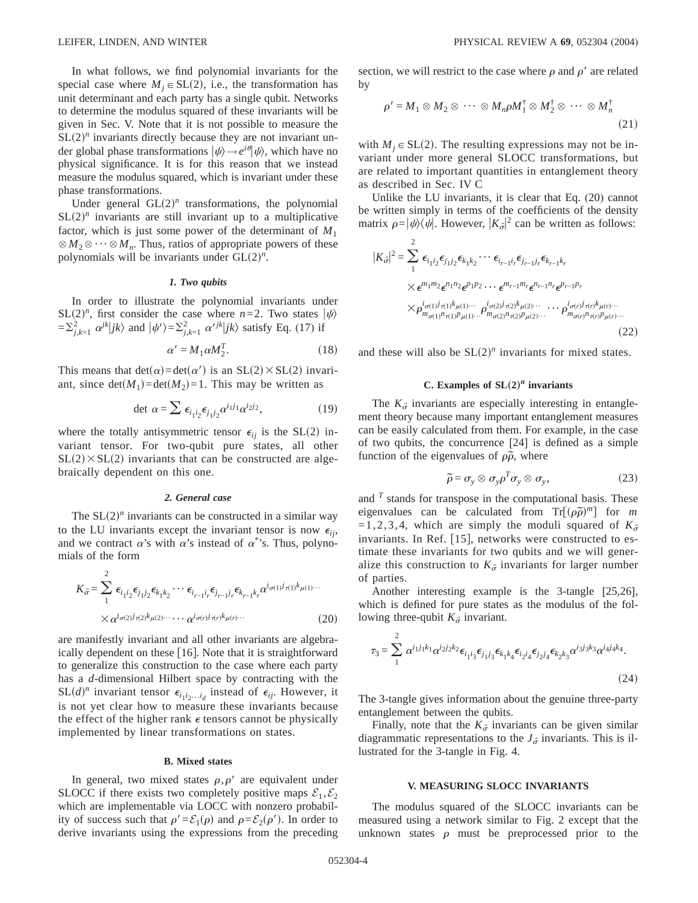In what follows, we find polynomial invariants for the special case where  $M_i \in SL(2)$ , i.e., the transformation has unit determinant and each party has a single qubit. Networks to determine the modulus squared of these invariants will be given in Sec. V. Note that it is not possible to measure the  $SL(2)^n$  invariants directly because they are not invariant under global phase transformations  $|\psi\rangle \rightarrow e^{i\theta}|\psi\rangle$ , which have no physical significance. It is for this reason that we instead measure the modulus squared, which is invariant under these phase transformations.

Under general  $GL(2)^n$  transformations, the polynomial  $SL(2)^n$  invariants are still invariant up to a multiplicative factor, which is just some power of the determinant of  $M_1$  $\otimes M_2 \otimes \cdots \otimes M_n$ . Thus, ratios of appropriate powers of these polynomials will be invariants under  $GL(2)^n$ .

#### *1. Two qubits*

In order to illustrate the polynomial invariants under  $SL(2)^n$ , first consider the case where  $n=2$ . Two states  $|\psi\rangle$  $=\sum_{j,k=1}^{2} \alpha^{jk} |jk\rangle$  and  $|\psi'\rangle = \sum_{j,k=1}^{2} \alpha'^{jk} |jk\rangle$  satisfy Eq. (17) if

$$
\alpha' = M_1 \alpha M_2^T. \tag{18}
$$

This means that  $det(\alpha) = det(\alpha')$  is an  $SL(2) \times SL(2)$  invariant, since  $det(M_1)=det(M_2)=1$ . This may be written as

$$
\det \alpha = \sum \epsilon_{i_1 i_2} \epsilon_{j_1 j_2} \alpha^{i_1 j_1} \alpha^{i_2 j_2},\tag{19}
$$

where the totally antisymmetric tensor  $\epsilon_{ij}$  is the SL(2) invariant tensor. For two-qubit pure states, all other  $SL(2) \times SL(2)$  invariants that can be constructed are algebraically dependent on this one.

#### *2. General case*

The  $SL(2)^n$  invariants can be constructed in a similar way to the LU invariants except the invariant tensor is now  $\epsilon_{ii}$ , and we contract  $\alpha$ 's with  $\alpha$ 's instead of  $\alpha^*$ 's. Thus, polynomials of the form

$$
K_{\vec{\sigma}} = \sum_{1}^{2} \epsilon_{i_1 i_2} \epsilon_{j_1 j_2} \epsilon_{k_1 k_2} \cdots \epsilon_{i_{r-1} i_r} \epsilon_{j_{r-1} j_r} \epsilon_{k_{r-1} k_r} \alpha^{i_{\sigma(1)} j_{\tau(1)} k_{\mu(1)}} \cdots
$$
  
 
$$
\times \alpha^{i_{\sigma(2)} j_{\tau(2)} k_{\mu(2)}} \cdots \alpha^{i_{\sigma(r)} j_{\tau(r)} k_{\mu(r)}} \cdots
$$
 (20)

are manifestly invariant and all other invariants are algebraically dependent on these  $\lceil 16 \rceil$ . Note that it is straightforward to generalize this construction to the case where each party has a *d*-dimensional Hilbert space by contracting with the  $SL(d)^n$  invariant tensor  $\epsilon_{i_1 i_2 \ldots i_d}$  instead of  $\epsilon_{i j}$ . However, it is not yet clear how to measure these invariants because the effect of the higher rank  $\epsilon$  tensors cannot be physically implemented by linear transformations on states.

#### **B. Mixed states**

In general, two mixed states  $\rho, \rho'$  are equivalent under SLOCC if there exists two completely positive maps  $\mathcal{E}_1, \mathcal{E}_2$ which are implementable via LOCC with nonzero probability of success such that  $\rho' = \mathcal{E}_1(\rho)$  and  $\rho = \mathcal{E}_2(\rho')$ . In order to derive invariants using the expressions from the preceding section, we will restrict to the case where  $\rho$  and  $\rho'$  are related by

$$
\rho' = M_1 \otimes M_2 \otimes \cdots \otimes M_n \rho M_1^{\dagger} \otimes M_2^{\dagger} \otimes \cdots \otimes M_n^{\dagger}
$$
\n(21)

with  $M_j \in SL(2)$ . The resulting expressions may not be invariant under more general SLOCC transformations, but are related to important quantities in entanglement theory as described in Sec. IV C

Unlike the LU invariants, it is clear that Eq. (20) cannot be written simply in terms of the coefficients of the density matrix  $\rho = |\psi\rangle\langle\psi|$ . However,  $|K_{\sigma}|^2$  can be written as follows:

$$
|K_{\vec{\sigma}}|^2 = \sum_{1}^{2} \epsilon_{i_1 i_2} \epsilon_{j_1 j_2} \epsilon_{k_1 k_2} \cdots \epsilon_{i_{r-1} i_r} \epsilon_{j_{r-1} j_r} \epsilon_{k_{r-1} k_r}
$$
  
 
$$
\times \epsilon^{m_1 m_2} \epsilon^{n_1 n_2} \epsilon^{p_1 p_2} \cdots \epsilon^{m_{r-1} m_r} \epsilon^{n_{r-1} n_r} \epsilon^{p_{r-1} p_r}
$$
  
 
$$
\times \rho_{m_{\sigma(1)} n_{\sigma(1)} p_{\mu(1)} ...}^{i_{\sigma(1)} j_{\sigma(2)} j_{\sigma(2)} k_{\mu(2)} ...} \cdots \rho_{m_{\sigma(r)} n_{\sigma(r)} p_{\mu(r)} ...}^{i_{\sigma(r)} j_{\sigma(r)} k_{\mu(r)} ...}
$$
  
(22)

and these will also be  $SL(2)^n$  invariants for mixed states.

#### **C.** Examples of  $SL(2)^n$  invariants

The  $K_{\sigma}$  invariants are especially interesting in entanglement theory because many important entanglement measures can be easily calculated from them. For example, in the case of two qubits, the concurrence [24] is defined as a simple function of the eigenvalues of  $\rho\tilde{\rho}$ , where

$$
\tilde{\rho} = \sigma_y \otimes \sigma_y \rho^T \sigma_y \otimes \sigma_y, \qquad (23)
$$

and *<sup>T</sup>* stands for transpose in the computational basis. These eigenvalues can be calculated from  $Tr[(\rho \bar{\rho})^m]$  for *m*  $=1,2,3,4$ , which are simply the moduli squared of  $K_{\sigma}$ invariants. In Ref. [15], networks were constructed to estimate these invariants for two qubits and we will generalize this construction to  $K_{\sigma}$  invariants for larger number of parties.

Another interesting example is the 3-tangle [25,26], which is defined for pure states as the modulus of the following three-qubit  $K_{\vec{\sigma}}$  invariant.

$$
\tau_3 = \sum_{1}^{2} \alpha^{i_1 j_1 k_1} \alpha^{i_2 j_2 k_2} \epsilon_{i_1 i_3} \epsilon_{j_1 j_3} \epsilon_{k_1 k_4} \epsilon_{i_2 i_4} \epsilon_{j_2 j_4} \epsilon_{k_2 k_3} \alpha^{i_3 j_3 k_3} \alpha^{i_4 j_4 k_4}.
$$
\n(24)

The 3-tangle gives information about the genuine three-party entanglement between the qubits.

Finally, note that the  $K_{\sigma}$  invariants can be given similar diagrammatic representations to the  $J_{\sigma}$  invariants. This is illustrated for the 3-tangle in Fig. 4.

#### **V. MEASURING SLOCC INVARIANTS**

The modulus squared of the SLOCC invariants can be measured using a network similar to Fig. 2 except that the unknown states  $\rho$  must be preprocessed prior to the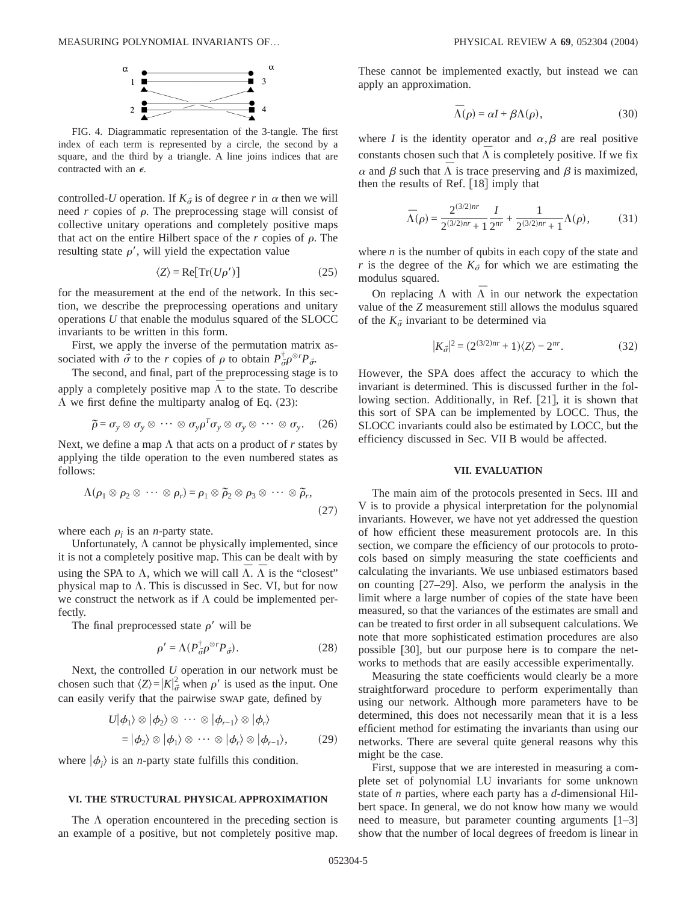

FIG. 4. Diagrammatic representation of the 3-tangle. The first index of each term is represented by a circle, the second by a square, and the third by a triangle. A line joins indices that are contracted with an  $\epsilon$ .

controlled-*U* operation. If  $K_{\sigma}$  is of degree *r* in  $\alpha$  then we will need  $r$  copies of  $\rho$ . The preprocessing stage will consist of collective unitary operations and completely positive maps that act on the entire Hilbert space of the  $r$  copies of  $\rho$ . The resulting state  $\rho'$ , will yield the expectation value

$$
\langle Z \rangle = \text{Re}[\text{Tr}(U\rho')] \tag{25}
$$

for the measurement at the end of the network. In this section, we describe the preprocessing operations and unitary operations *U* that enable the modulus squared of the SLOCC invariants to be written in this form.

First, we apply the inverse of the permutation matrix associated with  $\vec{\sigma}$  to the *r* copies of  $\rho$  to obtain  $P_{\vec{\sigma}}^{\dagger} \rho^{\otimes r} P_{\vec{\sigma}}$ .

The second, and final, part of the preprocessing stage is to apply a completely positive map  $\overline{\Lambda}$  to the state. To describe  $\Lambda$  we first define the multiparty analog of Eq. (23):

$$
\widetilde{\rho} = \sigma_y \otimes \sigma_y \otimes \cdots \otimes \sigma_y \rho^T \sigma_y \otimes \sigma_y \otimes \cdots \otimes \sigma_y. \quad (26)
$$

Next, we define a map  $\Lambda$  that acts on a product of  $r$  states by applying the tilde operation to the even numbered states as follows:

$$
\Lambda(\rho_1 \otimes \rho_2 \otimes \cdots \otimes \rho_r) = \rho_1 \otimes \widetilde{\rho}_2 \otimes \rho_3 \otimes \cdots \otimes \widetilde{\rho}_r,
$$
\n(27)

where each  $\rho_i$  is an *n*-party state.

Unfortunately,  $\Lambda$  cannot be physically implemented, since it is not a completely positive map. This can be dealt with by using the SPA to  $\Lambda$ , which we will call  $\overline{\Lambda}$ .  $\overline{\Lambda}$  is the "closest" physical map to  $\Lambda$ . This is discussed in Sec. VI, but for now we construct the network as if  $\Lambda$  could be implemented perfectly.

The final preprocessed state  $\rho'$  will be

$$
\rho' = \Lambda (P_{\vec{\sigma}}^{\dagger} \rho^{\otimes r} P_{\vec{\sigma}}). \tag{28}
$$

Next, the controlled *U* operation in our network must be chosen such that  $\langle Z \rangle = |K|_{\sigma}^2$  when  $\rho'$  is used as the input. One can easily verify that the pairwise SWAP gate, defined by

$$
U|\phi_1\rangle \otimes |\phi_2\rangle \otimes \cdots \otimes |\phi_{r-1}\rangle \otimes |\phi_r\rangle
$$
  
=  $|\phi_2\rangle \otimes |\phi_1\rangle \otimes \cdots \otimes |\phi_r\rangle \otimes |\phi_{r-1}\rangle,$  (29)

where  $|\phi_i\rangle$  is an *n*-party state fulfills this condition.

#### **VI. THE STRUCTURAL PHYSICAL APPROXIMATION**

The  $\Lambda$  operation encountered in the preceding section is an example of a positive, but not completely positive map. These cannot be implemented exactly, but instead we can apply an approximation.

$$
\bar{\Lambda}(\rho) = \alpha I + \beta \Lambda(\rho),\tag{30}
$$

where *I* is the identity operator and  $\alpha, \beta$  are real positive constants chosen such that  $\overline{\Lambda}$  is completely positive. If we fix  $\alpha$  and  $\beta$  such that  $\overline{\Lambda}$  is trace preserving and  $\beta$  is maximized, then the results of Ref.  $[18]$  imply that

$$
\bar{\Lambda}(\rho) = \frac{2^{(3/2)nr}}{2^{(3/2)nr} + 1} \frac{I}{2^{nr}} + \frac{1}{2^{(3/2)nr} + 1} \Lambda(\rho),\tag{31}
$$

where *n* is the number of qubits in each copy of the state and *r* is the degree of the  $K_{\sigma}$  for which we are estimating the modulus squared.

On replacing  $\Lambda$  with  $\overline{\Lambda}$  in our network the expectation value of the *Z* measurement still allows the modulus squared of the  $K_{\sigma}$  invariant to be determined via

$$
|K_{\tilde{\sigma}}|^2 = (2^{(3/2)n} + 1)\langle Z \rangle - 2^{nr}.\tag{32}
$$

However, the SPA does affect the accuracy to which the invariant is determined. This is discussed further in the following section. Additionally, in Ref. [21], it is shown that this sort of SPA can be implemented by LOCC. Thus, the SLOCC invariants could also be estimated by LOCC, but the efficiency discussed in Sec. VII B would be affected.

#### **VII. EVALUATION**

The main aim of the protocols presented in Secs. III and V is to provide a physical interpretation for the polynomial invariants. However, we have not yet addressed the question of how efficient these measurement protocols are. In this section, we compare the efficiency of our protocols to protocols based on simply measuring the state coefficients and calculating the invariants. We use unbiased estimators based on counting [27–29]. Also, we perform the analysis in the limit where a large number of copies of the state have been measured, so that the variances of the estimates are small and can be treated to first order in all subsequent calculations. We note that more sophisticated estimation procedures are also possible [30], but our purpose here is to compare the networks to methods that are easily accessible experimentally.

Measuring the state coefficients would clearly be a more straightforward procedure to perform experimentally than using our network. Although more parameters have to be determined, this does not necessarily mean that it is a less efficient method for estimating the invariants than using our networks. There are several quite general reasons why this might be the case.

First, suppose that we are interested in measuring a complete set of polynomial LU invariants for some unknown state of *n* parties, where each party has a *d*-dimensional Hilbert space. In general, we do not know how many we would need to measure, but parameter counting arguments [1–3] show that the number of local degrees of freedom is linear in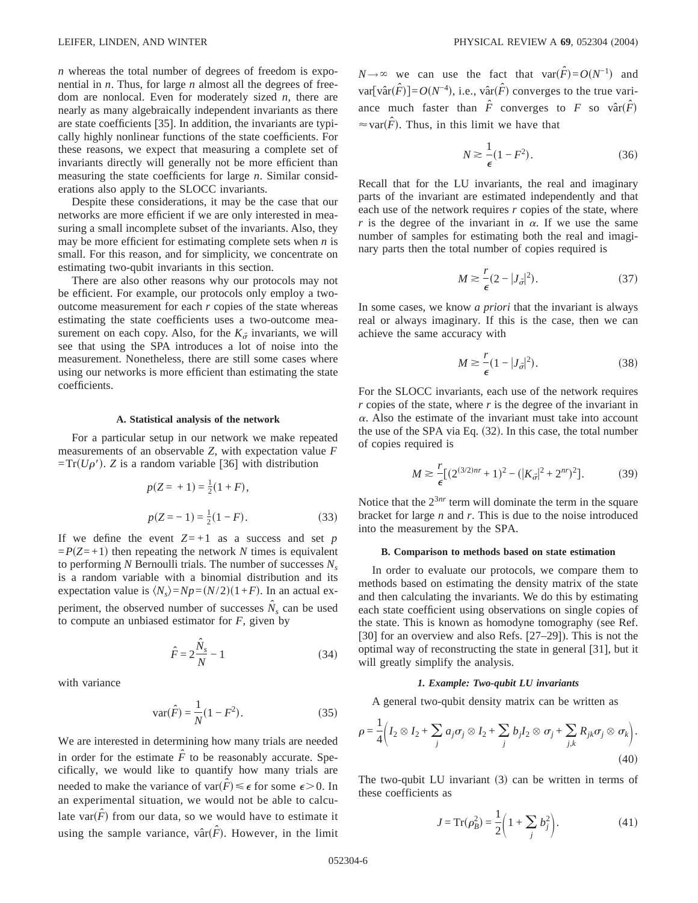*n* whereas the total number of degrees of freedom is exponential in *n*. Thus, for large *n* almost all the degrees of freedom are nonlocal. Even for moderately sized *n*, there are nearly as many algebraically independent invariants as there are state coefficients [35]. In addition, the invariants are typically highly nonlinear functions of the state coefficients. For these reasons, we expect that measuring a complete set of invariants directly will generally not be more efficient than measuring the state coefficients for large *n*. Similar considerations also apply to the SLOCC invariants.

Despite these considerations, it may be the case that our networks are more efficient if we are only interested in measuring a small incomplete subset of the invariants. Also, they may be more efficient for estimating complete sets when *n* is small. For this reason, and for simplicity, we concentrate on estimating two-qubit invariants in this section.

There are also other reasons why our protocols may not be efficient. For example, our protocols only employ a twooutcome measurement for each *r* copies of the state whereas estimating the state coefficients uses a two-outcome measurement on each copy. Also, for the  $K_{\sigma}$  invariants, we will see that using the SPA introduces a lot of noise into the measurement. Nonetheless, there are still some cases where using our networks is more efficient than estimating the state coefficients.

#### **A. Statistical analysis of the network**

For a particular setup in our network we make repeated measurements of an observable *Z*, with expectation value *F*  $=Tr(U\rho')$ . *Z* is a random variable [36] with distribution

$$
p(Z = +1) = \frac{1}{2}(1 + F),
$$
  
\n
$$
p(Z = -1) = \frac{1}{2}(1 - F).
$$
\n(33)

If we define the event  $Z=+1$  as a success and set *p*  $= P(Z=+1)$  then repeating the network *N* times is equivalent to performing *N* Bernoulli trials. The number of successes  $N_s$ is a random variable with a binomial distribution and its expectation value is  $\langle N_s \rangle = Np = (N/2)(1+F)$ . In an actual experiment, the observed number of successes  $\hat{N}_s$  can be used to compute an unbiased estimator for  $F$ , given by

$$
\hat{F} = 2\frac{\hat{N}_s}{N} - 1\tag{34}
$$

with variance

$$
var(\hat{F}) = \frac{1}{N}(1 - F^2).
$$
 (35)

We are interested in determining how many trials are needed in order for the estimate  $\hat{F}$  to be reasonably accurate. Specifically, we would like to quantify how many trials are needed to make the variance of  $var(\hat{F}) \leq \epsilon$  for some  $\epsilon > 0$ . In an experimental situation, we would not be able to calculate var $(\hat{F})$  from our data, so we would have to estimate it using the sample variance, vâr $(\hat{F})$ . However, in the limit

*N*→∞ we can use the fact that var $(\hat{F}) = O(N^{-1})$  and  $var[\hat{\text{var}}(\hat{F})] = O(N^{-4})$ , i.e.,  $\hat{\text{var}}(\hat{F})$  converges to the true variance much faster than  $\hat{F}$  converges to  $F$  so  $\text{vâr}(\hat{F})$  $\approx$  var( $\hat{F}$ ). Thus, in this limit we have that

$$
N \gtrsim \frac{1}{\epsilon} (1 - F^2). \tag{36}
$$

Recall that for the LU invariants, the real and imaginary parts of the invariant are estimated independently and that each use of the network requires *r* copies of the state, where *r* is the degree of the invariant in  $\alpha$ . If we use the same number of samples for estimating both the real and imaginary parts then the total number of copies required is

$$
M \gtrsim \frac{r}{\epsilon} (2 - |J_{\vec{\sigma}}|^2). \tag{37}
$$

In some cases, we know *a priori* that the invariant is always real or always imaginary. If this is the case, then we can achieve the same accuracy with

$$
M \gtrsim \frac{r}{\epsilon} (1 - |J_{\sigma}|^2). \tag{38}
$$

For the SLOCC invariants, each use of the network requires *r* copies of the state, where *r* is the degree of the invariant in  $\alpha$ . Also the estimate of the invariant must take into account the use of the SPA via Eq.  $(32)$ . In this case, the total number of copies required is

$$
M \gtrsim \frac{r}{\epsilon} [(2^{(3/2)nr} + 1)^2 - (|K_{\vec{\sigma}}|^2 + 2^{nr})^2]. \tag{39}
$$

Notice that the  $2^{3nr}$  term will dominate the term in the square bracket for large *n* and *r*. This is due to the noise introduced into the measurement by the SPA.

#### **B. Comparison to methods based on state estimation**

In order to evaluate our protocols, we compare them to methods based on estimating the density matrix of the state and then calculating the invariants. We do this by estimating each state coefficient using observations on single copies of the state. This is known as homodyne tomography (see Ref. [30] for an overview and also Refs. [27–29]). This is not the optimal way of reconstructing the state in general [31], but it will greatly simplify the analysis.

#### *1. Example: Two-qubit LU invariants*

A general two-qubit density matrix can be written as

$$
\rho = \frac{1}{4} \Big( I_2 \otimes I_2 + \sum_j a_j \sigma_j \otimes I_2 + \sum_j b_j I_2 \otimes \sigma_j + \sum_{j,k} R_{jk} \sigma_j \otimes \sigma_k \Big).
$$
\n(40)

The two-qubit LU invariant  $(3)$  can be written in terms of these coefficients as

$$
J = \text{Tr}(\rho_B^2) = \frac{1}{2} \left( 1 + \sum_j b_j^2 \right). \tag{41}
$$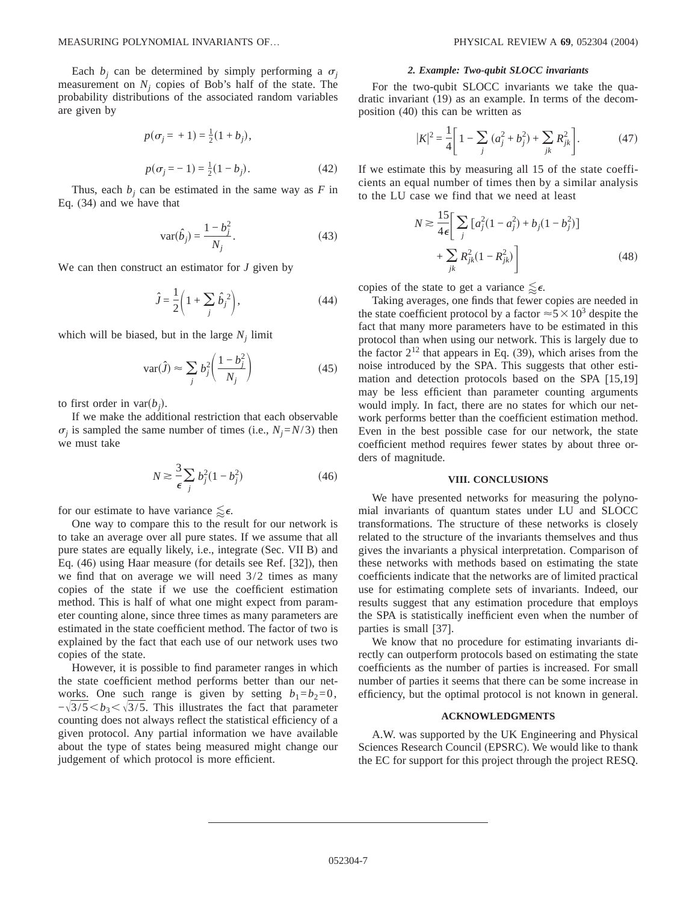Each  $b_i$  can be determined by simply performing a  $\sigma_i$ measurement on  $N_i$  copies of Bob's half of the state. The probability distributions of the associated random variables are given by

$$
p(\sigma_j = +1) = \frac{1}{2}(1+b_j),
$$
  
\n
$$
p(\sigma_j = -1) = \frac{1}{2}(1-b_j).
$$
 (42)

Thus, each  $b_j$  can be estimated in the same way as  $F$  in Eq. (34) and we have that

$$
\text{var}(\hat{b}_j) = \frac{1 - b_j^2}{N_j}.\tag{43}
$$

We can then construct an estimator for *J* given by

$$
\hat{J} = \frac{1}{2} \left( 1 + \sum_{j} \hat{b}_j^2 \right),\tag{44}
$$

which will be biased, but in the large  $N_i$  limit

$$
\text{var}(\hat{J}) \approx \sum_{j} b_j^2 \left( \frac{1 - b_j^2}{N_j} \right) \tag{45}
$$

to first order in var $(b_i)$ .

If we make the additional restriction that each observable  $\sigma_i$  is sampled the same number of times (i.e.,  $N_i = N/3$ ) then we must take

$$
N \gtrsim \frac{3}{\epsilon} \sum_{j} b_j^2 (1 - b_j^2) \tag{46}
$$

for our estimate to have variance  $\leq \epsilon$ .

One way to compare this to the result for our network is to take an average over all pure states. If we assume that all pure states are equally likely, i.e., integrate (Sec. VII B) and Eq. (46) using Haar measure (for details see Ref. [32]), then we find that on average we will need 3/2 times as many copies of the state if we use the coefficient estimation method. This is half of what one might expect from parameter counting alone, since three times as many parameters are estimated in the state coefficient method. The factor of two is explained by the fact that each use of our network uses two copies of the state.

However, it is possible to find parameter ranges in which the state coefficient method performs better than our networks. One such range is given by setting  $b_1 = b_2 = 0$ ,  $-\sqrt{3}/5 < b_3 < \sqrt{3}/5$ . This illustrates the fact that parameter counting does not always reflect the statistical efficiency of a given protocol. Any partial information we have available about the type of states being measured might change our judgement of which protocol is more efficient.

#### *2. Example: Two-qubit SLOCC invariants*

For the two-qubit SLOCC invariants we take the quadratic invariant (19) as an example. In terms of the decomposition (40) this can be written as

$$
|K|^2 = \frac{1}{4} \left[ 1 - \sum_j (a_j^2 + b_j^2) + \sum_{jk} R_{jk}^2 \right].
$$
 (47)

If we estimate this by measuring all 15 of the state coefficients an equal number of times then by a similar analysis to the LU case we find that we need at least

$$
N \gtrsim \frac{15}{4\epsilon} \bigg[ \sum_{j} [a_j^2 (1 - a_j^2) + b_j (1 - b_j^2)] + \sum_{jk} R_{jk}^2 (1 - R_{jk}^2) \bigg]
$$
(48)

copies of the state to get a variance  $\leq \epsilon$ .

Taking averages, one finds that fewer copies are needed in the state coefficient protocol by a factor  $\approx$  5  $\times$  10<sup>3</sup> despite the fact that many more parameters have to be estimated in this protocol than when using our network. This is largely due to the factor  $2^{12}$  that appears in Eq. (39), which arises from the noise introduced by the SPA. This suggests that other estimation and detection protocols based on the SPA [15,19] may be less efficient than parameter counting arguments would imply. In fact, there are no states for which our network performs better than the coefficient estimation method. Even in the best possible case for our network, the state coefficient method requires fewer states by about three orders of magnitude.

#### **VIII. CONCLUSIONS**

We have presented networks for measuring the polynomial invariants of quantum states under LU and SLOCC transformations. The structure of these networks is closely related to the structure of the invariants themselves and thus gives the invariants a physical interpretation. Comparison of these networks with methods based on estimating the state coefficients indicate that the networks are of limited practical use for estimating complete sets of invariants. Indeed, our results suggest that any estimation procedure that employs the SPA is statistically inefficient even when the number of parties is small [37].

We know that no procedure for estimating invariants directly can outperform protocols based on estimating the state coefficients as the number of parties is increased. For small number of parties it seems that there can be some increase in efficiency, but the optimal protocol is not known in general.

#### **ACKNOWLEDGMENTS**

A.W. was supported by the UK Engineering and Physical Sciences Research Council (EPSRC). We would like to thank the EC for support for this project through the project RESQ.